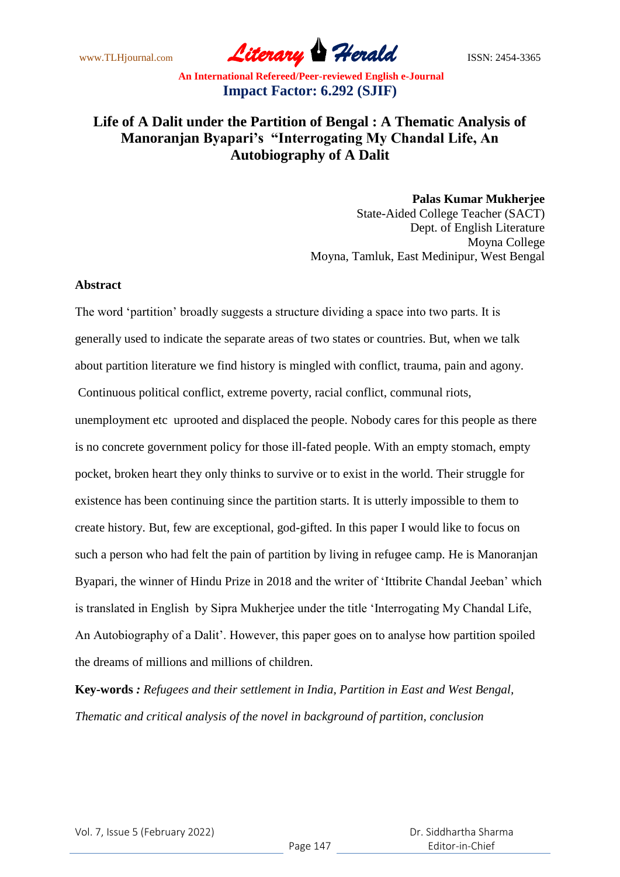www.TLHjournal.com **Literary Herald Herald** ISSN: 2454-3365

# **Life of A Dalit under the Partition of Bengal : A Thematic Analysis of Manoranjan Byapari's "Interrogating My Chandal Life, An Autobiography of A Dalit**

**Palas Kumar Mukherjee** State-Aided College Teacher (SACT) Dept. of English Literature Moyna College Moyna, Tamluk, East Medinipur, West Bengal

#### **Abstract**

The word 'partition' broadly suggests a structure dividing a space into two parts. It is generally used to indicate the separate areas of two states or countries. But, when we talk about partition literature we find history is mingled with conflict, trauma, pain and agony. Continuous political conflict, extreme poverty, racial conflict, communal riots, unemployment etc uprooted and displaced the people. Nobody cares for this people as there is no concrete government policy for those ill-fated people. With an empty stomach, empty pocket, broken heart they only thinks to survive or to exist in the world. Their struggle for existence has been continuing since the partition starts. It is utterly impossible to them to create history. But, few are exceptional, god-gifted. In this paper I would like to focus on such a person who had felt the pain of partition by living in refugee camp. He is Manoranjan Byapari, the winner of Hindu Prize in 2018 and the writer of 'Ittibrite Chandal Jeeban' which is translated in English by Sipra Mukherjee under the title 'Interrogating My Chandal Life, An Autobiography of a Dalit'. However, this paper goes on to analyse how partition spoiled the dreams of millions and millions of children.

**Key-words** *: Refugees and their settlement in India, Partition in East and West Bengal, Thematic and critical analysis of the novel in background of partition, conclusion*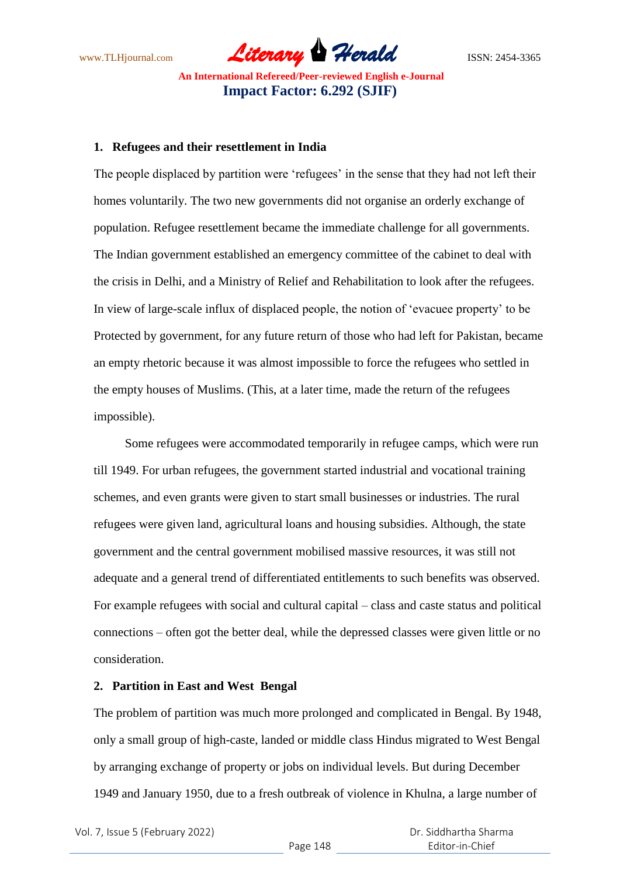www.TLHjournal.com **Literary Herald** ISSN: 2454-3365

#### **1. Refugees and their resettlement in India**

The people displaced by partition were 'refugees' in the sense that they had not left their homes voluntarily. The two new governments did not organise an orderly exchange of population. Refugee resettlement became the immediate challenge for all governments. The Indian government established an emergency committee of the cabinet to deal with the crisis in Delhi, and a Ministry of Relief and Rehabilitation to look after the refugees. In view of large-scale influx of displaced people, the notion of 'evacuee property' to be Protected by government, for any future return of those who had left for Pakistan, became an empty rhetoric because it was almost impossible to force the refugees who settled in the empty houses of Muslims. (This, at a later time, made the return of the refugees impossible).

 Some refugees were accommodated temporarily in refugee camps, which were run till 1949. For urban refugees, the government started industrial and vocational training schemes, and even grants were given to start small businesses or industries. The rural refugees were given land, agricultural loans and housing subsidies. Although, the state government and the central government mobilised massive resources, it was still not adequate and a general trend of differentiated entitlements to such benefits was observed. For example refugees with social and cultural capital – class and caste status and political connections – often got the better deal, while the depressed classes were given little or no consideration.

### **2. Partition in East and West Bengal**

The problem of partition was much more prolonged and complicated in Bengal. By 1948, only a small group of high-caste, landed or middle class Hindus migrated to West Bengal by arranging exchange of property or jobs on individual levels. But during December 1949 and January 1950, due to a fresh outbreak of violence in Khulna, a large number of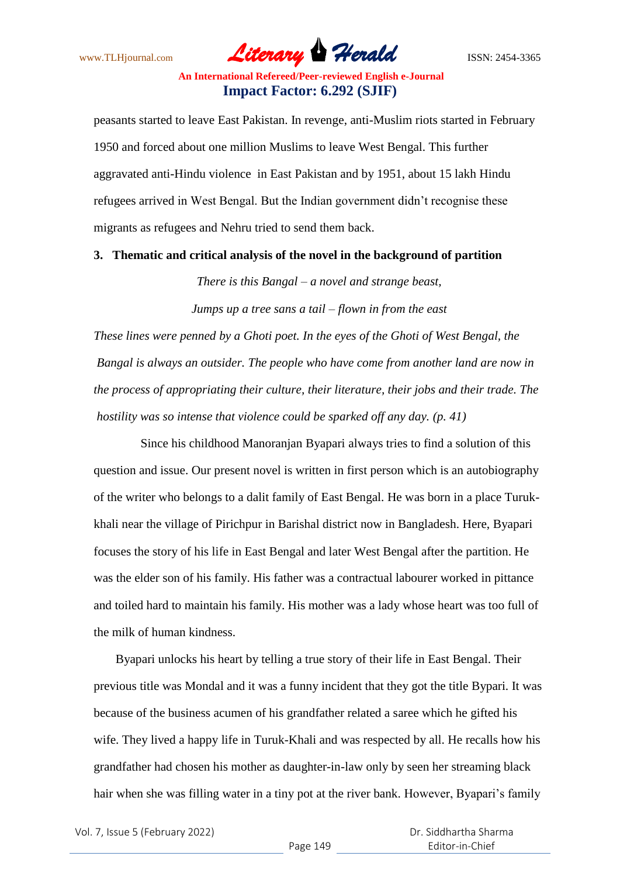www.TLHjournal.com **Literary Herald ISSN: 2454-3365** 

peasants started to leave East Pakistan. In revenge, anti-Muslim riots started in February 1950 and forced about one million Muslims to leave West Bengal. This further aggravated anti-Hindu violence in East Pakistan and by 1951, about 15 lakh Hindu refugees arrived in West Bengal. But the Indian government didn't recognise these migrants as refugees and Nehru tried to send them back.

#### **3. Thematic and critical analysis of the novel in the background of partition**

*There is this Bangal – a novel and strange beast,*

*Jumps up a tree sans a tail – flown in from the east*

*These lines were penned by a Ghoti poet. In the eyes of the Ghoti of West Bengal, the Bangal is always an outsider. The people who have come from another land are now in the process of appropriating their culture, their literature, their jobs and their trade. The hostility was so intense that violence could be sparked off any day. (p. 41)*

 Since his childhood Manoranjan Byapari always tries to find a solution of this question and issue. Our present novel is written in first person which is an autobiography of the writer who belongs to a dalit family of East Bengal. He was born in a place Turukkhali near the village of Pirichpur in Barishal district now in Bangladesh. Here, Byapari focuses the story of his life in East Bengal and later West Bengal after the partition. He was the elder son of his family. His father was a contractual labourer worked in pittance and toiled hard to maintain his family. His mother was a lady whose heart was too full of the milk of human kindness.

 Byapari unlocks his heart by telling a true story of their life in East Bengal. Their previous title was Mondal and it was a funny incident that they got the title Bypari. It was because of the business acumen of his grandfather related a saree which he gifted his wife. They lived a happy life in Turuk-Khali and was respected by all. He recalls how his grandfather had chosen his mother as daughter-in-law only by seen her streaming black hair when she was filling water in a tiny pot at the river bank. However, Byapari's family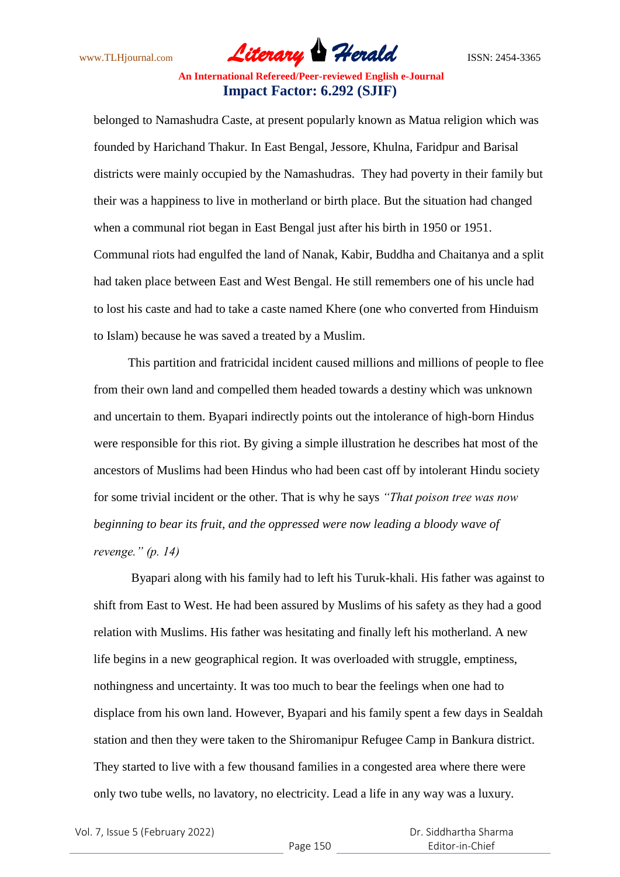www.TLHjournal.com **Literary Herald ISSN: 2454-3365** 

belonged to Namashudra Caste, at present popularly known as Matua religion which was founded by Harichand Thakur. In East Bengal, Jessore, Khulna, Faridpur and Barisal districts were mainly occupied by the Namashudras. They had poverty in their family but their was a happiness to live in motherland or birth place. But the situation had changed when a communal riot began in East Bengal just after his birth in 1950 or 1951. Communal riots had engulfed the land of Nanak, Kabir, Buddha and Chaitanya and a split had taken place between East and West Bengal. He still remembers one of his uncle had to lost his caste and had to take a caste named Khere (one who converted from Hinduism to Islam) because he was saved a treated by a Muslim.

 This partition and fratricidal incident caused millions and millions of people to flee from their own land and compelled them headed towards a destiny which was unknown and uncertain to them. Byapari indirectly points out the intolerance of high-born Hindus were responsible for this riot. By giving a simple illustration he describes hat most of the ancestors of Muslims had been Hindus who had been cast off by intolerant Hindu society for some trivial incident or the other. That is why he says *"That poison tree was now beginning to bear its fruit, and the oppressed were now leading a bloody wave of revenge." (p. 14)*

 Byapari along with his family had to left his Turuk-khali. His father was against to shift from East to West. He had been assured by Muslims of his safety as they had a good relation with Muslims. His father was hesitating and finally left his motherland. A new life begins in a new geographical region. It was overloaded with struggle, emptiness, nothingness and uncertainty. It was too much to bear the feelings when one had to displace from his own land. However, Byapari and his family spent a few days in Sealdah station and then they were taken to the Shiromanipur Refugee Camp in Bankura district. They started to live with a few thousand families in a congested area where there were only two tube wells, no lavatory, no electricity. Lead a life in any way was a luxury.

Vol. 7, Issue 5 (February 2022)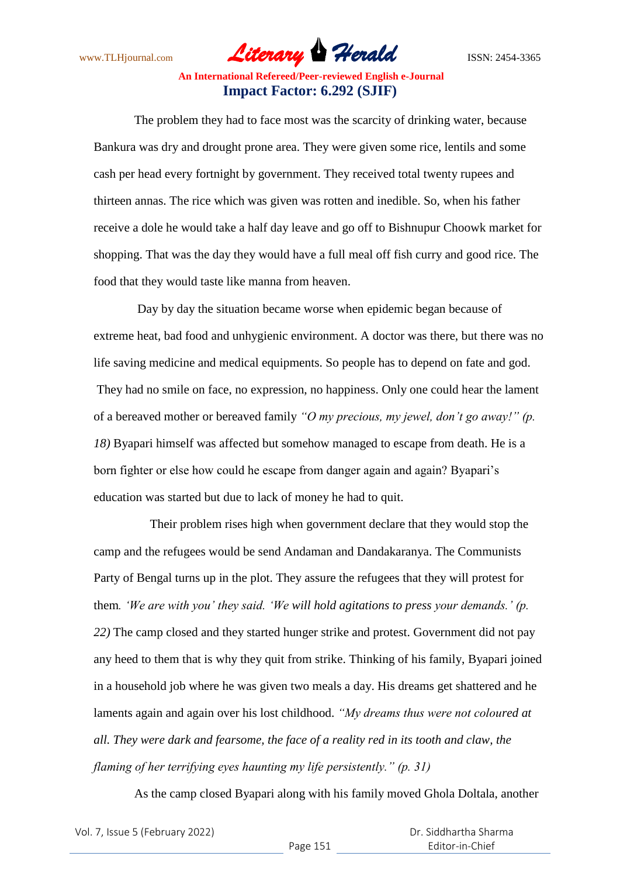www.TLHjournal.com **Literary Herald Herald** ISSN: 2454-3365

 The problem they had to face most was the scarcity of drinking water, because Bankura was dry and drought prone area. They were given some rice, lentils and some cash per head every fortnight by government. They received total twenty rupees and thirteen annas. The rice which was given was rotten and inedible. So, when his father receive a dole he would take a half day leave and go off to Bishnupur Choowk market for shopping. That was the day they would have a full meal off fish curry and good rice. The food that they would taste like manna from heaven.

 Day by day the situation became worse when epidemic began because of extreme heat, bad food and unhygienic environment. A doctor was there, but there was no life saving medicine and medical equipments. So people has to depend on fate and god. They had no smile on face, no expression, no happiness. Only one could hear the lament of a bereaved mother or bereaved family *"O my precious, my jewel, don"t go away!" (p. 18)* Byapari himself was affected but somehow managed to escape from death. He is a born fighter or else how could he escape from danger again and again? Byapari's education was started but due to lack of money he had to quit.

 Their problem rises high when government declare that they would stop the camp and the refugees would be send Andaman and Dandakaranya. The Communists Party of Bengal turns up in the plot. They assure the refugees that they will protest for them*. "We are with you" they said. "We will hold agitations to press your demands." (p. 22)* The camp closed and they started hunger strike and protest. Government did not pay any heed to them that is why they quit from strike. Thinking of his family, Byapari joined in a household job where he was given two meals a day. His dreams get shattered and he laments again and again over his lost childhood. *"My dreams thus were not coloured at all. They were dark and fearsome, the face of a reality red in its tooth and claw, the flaming of her terrifying eyes haunting my life persistently." (p. 31)*

As the camp closed Byapari along with his family moved Ghola Doltala, another

| Vol. 7, Issue 5 (February 2022) |  |  |
|---------------------------------|--|--|
|---------------------------------|--|--|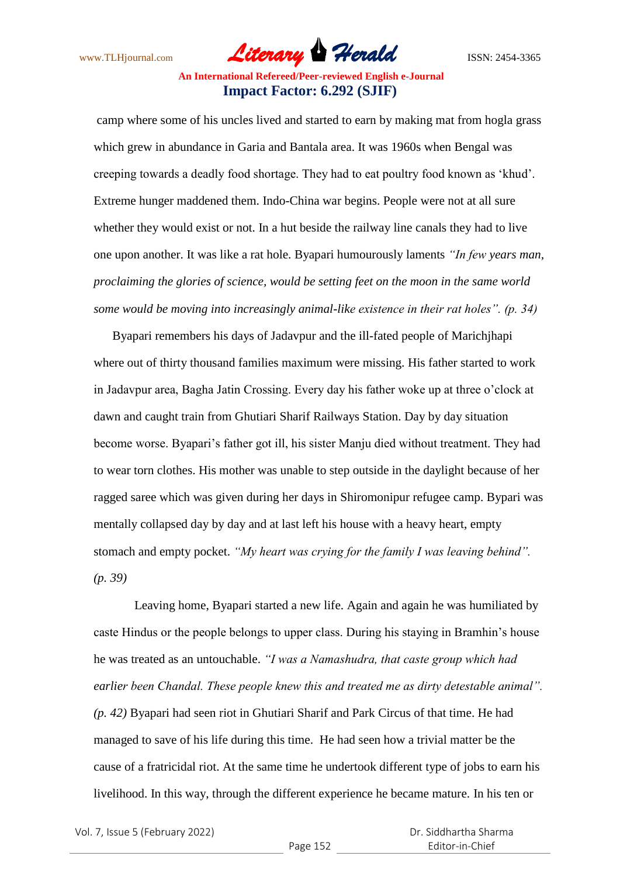www.TLHjournal.com **Literary Herald Herald ISSN: 2454-3365** 

camp where some of his uncles lived and started to earn by making mat from hogla grass which grew in abundance in Garia and Bantala area. It was 1960s when Bengal was creeping towards a deadly food shortage. They had to eat poultry food known as 'khud'. Extreme hunger maddened them. Indo-China war begins. People were not at all sure whether they would exist or not. In a hut beside the railway line canals they had to live one upon another. It was like a rat hole. Byapari humourously laments *"In few years man, proclaiming the glories of science, would be setting feet on the moon in the same world some would be moving into increasingly animal-like existence in their rat holes". (p. 34)*

 Byapari remembers his days of Jadavpur and the ill-fated people of Marichjhapi where out of thirty thousand families maximum were missing. His father started to work in Jadavpur area, Bagha Jatin Crossing. Every day his father woke up at three o'clock at dawn and caught train from Ghutiari Sharif Railways Station. Day by day situation become worse. Byapari's father got ill, his sister Manju died without treatment. They had to wear torn clothes. His mother was unable to step outside in the daylight because of her ragged saree which was given during her days in Shiromonipur refugee camp. Bypari was mentally collapsed day by day and at last left his house with a heavy heart, empty stomach and empty pocket. *"My heart was crying for the family I was leaving behind". (p. 39)*

 Leaving home, Byapari started a new life. Again and again he was humiliated by caste Hindus or the people belongs to upper class. During his staying in Bramhin's house he was treated as an untouchable. *"I was a Namashudra, that caste group which had earlier been Chandal. These people knew this and treated me as dirty detestable animal". (p. 42)* Byapari had seen riot in Ghutiari Sharif and Park Circus of that time. He had managed to save of his life during this time. He had seen how a trivial matter be the cause of a fratricidal riot. At the same time he undertook different type of jobs to earn his livelihood. In this way, through the different experience he became mature. In his ten or

Vol. 7, Issue 5 (February 2022)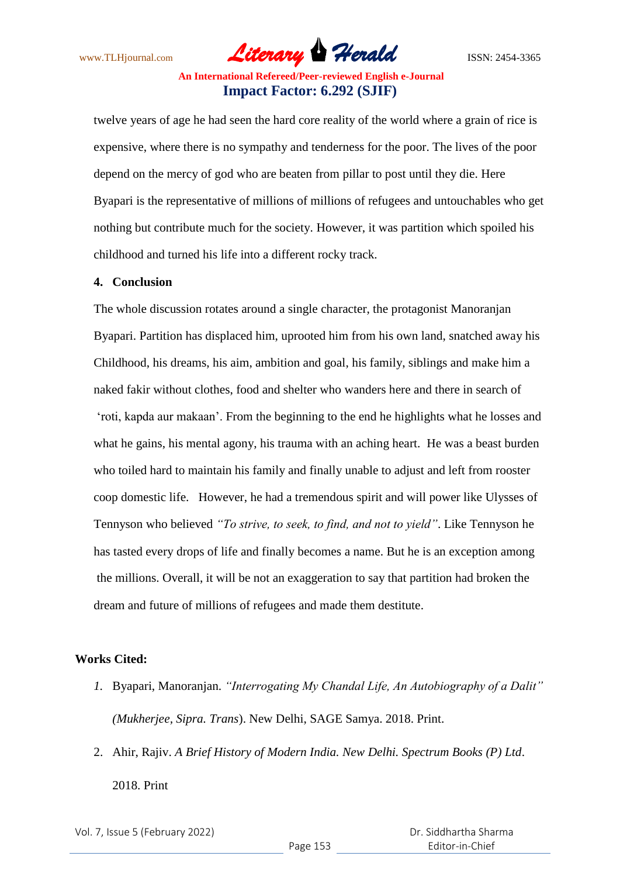www.TLHjournal.com *Literary Herald*ISSN: 2454-3365

twelve years of age he had seen the hard core reality of the world where a grain of rice is expensive, where there is no sympathy and tenderness for the poor. The lives of the poor depend on the mercy of god who are beaten from pillar to post until they die. Here Byapari is the representative of millions of millions of refugees and untouchables who get nothing but contribute much for the society. However, it was partition which spoiled his childhood and turned his life into a different rocky track.

#### **4. Conclusion**

The whole discussion rotates around a single character, the protagonist Manoranjan Byapari. Partition has displaced him, uprooted him from his own land, snatched away his Childhood, his dreams, his aim, ambition and goal, his family, siblings and make him a naked fakir without clothes, food and shelter who wanders here and there in search of 'roti, kapda aur makaan'. From the beginning to the end he highlights what he losses and what he gains, his mental agony, his trauma with an aching heart. He was a beast burden who toiled hard to maintain his family and finally unable to adjust and left from rooster coop domestic life. However, he had a tremendous spirit and will power like Ulysses of Tennyson who believed *"To strive, to seek, to find, and not to yield"*. Like Tennyson he has tasted every drops of life and finally becomes a name. But he is an exception among the millions. Overall, it will be not an exaggeration to say that partition had broken the dream and future of millions of refugees and made them destitute.

### **Works Cited:**

- *1.* Byapari, Manoranjan. *"Interrogating My Chandal Life, An Autobiography of a Dalit" (Mukherjee, Sipra. Trans*). New Delhi, SAGE Samya. 2018. Print.
- 2. Ahir, Rajiv. *A Brief History of Modern India. New Delhi. Spectrum Books (P) Ltd*. 2018. Print

Vol. 7, Issue 5 (February 2022)